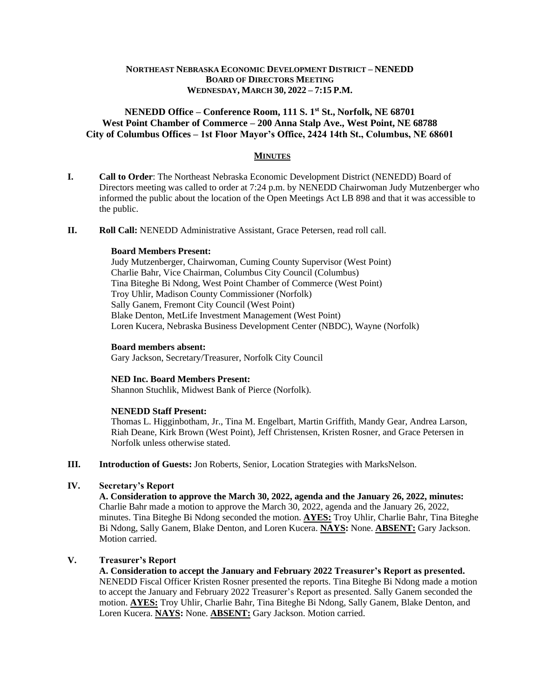## **NORTHEAST NEBRASKA ECONOMIC DEVELOPMENT DISTRICT – NENEDD BOARD OF DIRECTORS MEETING WEDNESDAY, MARCH 30, 2022 – 7:15 P.M.**

# **NENEDD Office – Conference Room, 111 S. 1st St., Norfolk, NE 68701 West Point Chamber of Commerce – 200 Anna Stalp Ave., West Point, NE 68788 City of Columbus Offices – 1st Floor Mayor's Office, 2424 14th St., Columbus, NE 68601**

# **MINUTES**

- **I. Call to Order**: The Northeast Nebraska Economic Development District (NENEDD) Board of Directors meeting was called to order at 7:24 p.m. by NENEDD Chairwoman Judy Mutzenberger who informed the public about the location of the Open Meetings Act LB 898 and that it was accessible to the public.
- **II. Roll Call:** NENEDD Administrative Assistant, Grace Petersen, read roll call.

### **Board Members Present:**

Judy Mutzenberger, Chairwoman, Cuming County Supervisor (West Point) Charlie Bahr, Vice Chairman, Columbus City Council (Columbus) Tina Biteghe Bi Ndong, West Point Chamber of Commerce (West Point) Troy Uhlir, Madison County Commissioner (Norfolk) Sally Ganem, Fremont City Council (West Point) Blake Denton, MetLife Investment Management (West Point) Loren Kucera, Nebraska Business Development Center (NBDC), Wayne (Norfolk)

### **Board members absent:**

Gary Jackson, Secretary/Treasurer, Norfolk City Council

#### **NED Inc. Board Members Present:**

Shannon Stuchlik, Midwest Bank of Pierce (Norfolk).

## **NENEDD Staff Present:**

Thomas L. Higginbotham, Jr., Tina M. Engelbart, Martin Griffith, Mandy Gear, Andrea Larson, Riah Deane, Kirk Brown (West Point), Jeff Christensen, Kristen Rosner, and Grace Petersen in Norfolk unless otherwise stated.

**III. Introduction of Guests:** Jon Roberts, Senior, Location Strategies with MarksNelson.

# **IV. Secretary's Report**

**A. Consideration to approve the March 30, 2022, agenda and the January 26, 2022, minutes:**  Charlie Bahr made a motion to approve the March 30, 2022, agenda and the January 26, 2022, minutes. Tina Biteghe Bi Ndong seconded the motion. **AYES:** Troy Uhlir, Charlie Bahr, Tina Biteghe Bi Ndong, Sally Ganem, Blake Denton, and Loren Kucera. **NAYS:** None. **ABSENT:** Gary Jackson. Motion carried.

# **V. Treasurer's Report**

**A. Consideration to accept the January and February 2022 Treasurer's Report as presented.**  NENEDD Fiscal Officer Kristen Rosner presented the reports. Tina Biteghe Bi Ndong made a motion to accept the January and February 2022 Treasurer's Report as presented. Sally Ganem seconded the motion. **AYES:** Troy Uhlir, Charlie Bahr, Tina Biteghe Bi Ndong, Sally Ganem, Blake Denton, and Loren Kucera. **NAYS:** None. **ABSENT:** Gary Jackson. Motion carried.